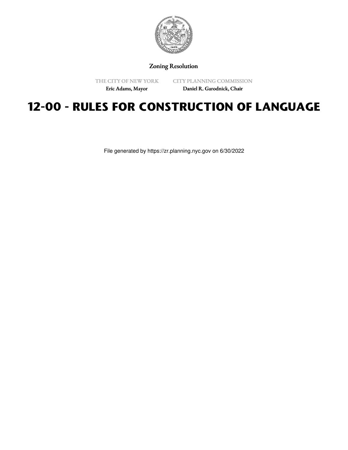

Zoning Resolution

THE CITY OF NEW YORK

CITY PLANNING COMMISSION

Eric Adams, Mayor

Daniel R. Garodnick, Chair

## **12-00 - RULES FOR CONSTRUCTION OF LANGUAGE**

File generated by https://zr.planning.nyc.gov on 6/30/2022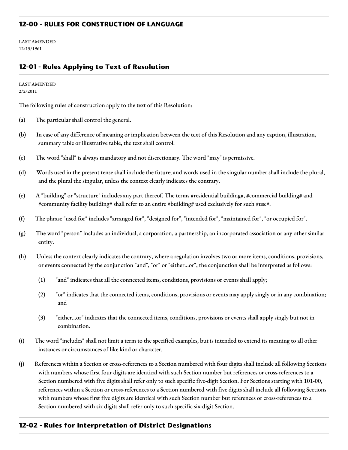LAST AMENDED 12/15/1961

## **12-01 - Rules Applying to Text of Resolution**

LAST AMENDED 2/2/2011

The following rules of construction apply to the text of this Resolution:

- (a) The particular shall control the general.
- (b) In case of any difference of meaning or implication between the text of this Resolution and any caption, illustration, summary table or illustrative table, the text shall control.
- (c) The word "shall" is always mandatory and not discretionary. The word "may" is permissive.
- (d) Words used in the present tense shall include the future; and words used in the singular number shall include the plural, and the plural the singular, unless the context clearly indicates the contrary.
- (e) A "building" or "structure" includes any part thereof. The terms #residential building#, #commercial building# and #community facility building# shall refer to an entire #building# used exclusively for such #use#.
- (f) The phrase "used for" includes "arranged for", "designed for", "intended for", "maintained for", "or occupied for".
- (g) The word "person" includes an individual, a corporation, a partnership, an incorporated association or any other similar entity.
- (h) Unless the context clearly indicates the contrary, where a regulation involves two or more items, conditions, provisions, or events connected by the conjunction "and", "or" or "either...or", the conjunction shall be interpreted as follows:
	- (1) "and" indicates that all the connected items, conditions, provisions or events shall apply;
	- (2) "or" indicates that the connected items, conditions, provisions or events may apply singly or in any combination; and
	- (3) "either...or" indicates that the connected items, conditions, provisions or events shall apply singly but not in combination.
- (i) The word "includes" shall not limit a term to the specified examples, but is intended to extend its meaning to all other instances or circumstances of like kind or character.
- (j) References within a Section or cross-references to a Section numbered with four digits shall include all following Sections with numbers whose first four digits are identical with such Section number but references or cross-references to a Section numbered with five digits shall refer only to such specific five-digit Section. For Sections starting with 101-00, references within a Section or cross-references to a Section numbered with five digits shall include all following Sections with numbers whose first five digits are identical with such Section number but references or cross-references to a Section numbered with six digits shall refer only to such specific six-digit Section.

## **12-02 - Rules for Interpretation of District Designations**